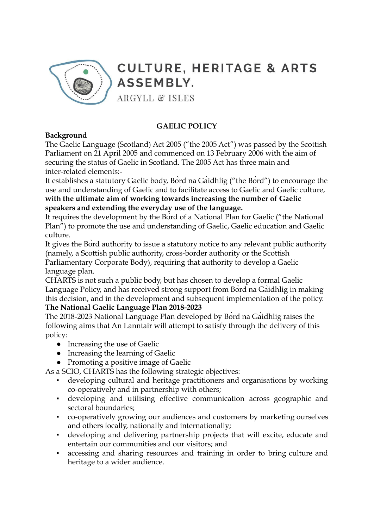

## **CULTURE, HERITAGE & ARTS ASSEMBLY.**

**ARGYLL & ISLES** 

## **GAELIC POLICY**

## **Background**

The Gaelic Language (Scotland) Act 2005 ("the 2005 Act") was passed by the Scottish Parliament on 21 April 2005 and commenced on 13 February 2006 with the aim of securing the status of Gaelic in Scotland. The 2005 Act has three main and inter-related elements:-

It establishes a statutory Gaelic body, Bòrd na Gàidhlig ("the Bòrd") to encourage the use and understanding of Gaelic and to facilitate access to Gaelic and Gaelic culture, **with the ultimate aim of working towards increasing the number of Gaelic speakers and extending the everyday use of the language.**

It requires the development by the Bòrd of a National Plan for Gaelic ("the National Plan") to promote the use and understanding of Gaelic, Gaelic education and Gaelic culture.

It gives the Bòrd authority to issue a statutory notice to any relevant public authority (namely, a Scottish public authority, cross-border authority or the Scottish Parliamentary Corporate Body), requiring that authority to develop a Gaelic

language plan.

CHARTS is not such a public body, but has chosen to develop a formal Gaelic Language Policy, and has received strong support from Bord na Gaidhlig in making this decision, and in the development and subsequent implementation of the policy. **The National Gaelic Language Plan 2018-2023**

The 2018-2023 National Language Plan developed by Bòrd na Gàidhlig raises the following aims that An Lanntair will attempt to satisfy through the delivery of this policy:

- Increasing the use of Gaelic
- Increasing the learning of Gaelic
- Promoting a positive image of Gaelic

As a SCIO, CHARTS has the following strategic objectives:

- developing cultural and heritage practitioners and organisations by working co-operatively and in partnership with others;
- developing and utilising effective communication across geographic and sectoral boundaries;
- co-operatively growing our audiences and customers by marketing ourselves and others locally, nationally and internationally;
- developing and delivering partnership projects that will excite, educate and entertain our communities and our visitors; and
- accessing and sharing resources and training in order to bring culture and heritage to a wider audience.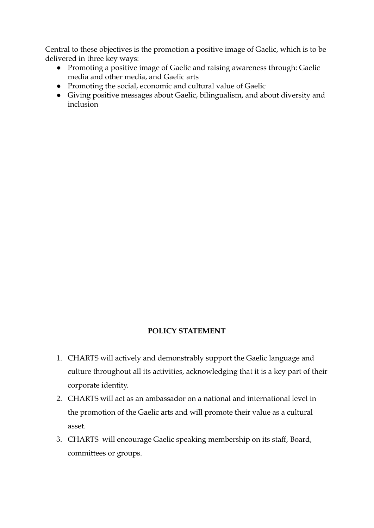Central to these objectives is the promotion a positive image of Gaelic, which is to be delivered in three key ways:

- Promoting a positive image of Gaelic and raising awareness through: Gaelic media and other media, and Gaelic arts
- Promoting the social, economic and cultural value of Gaelic
- Giving positive messages about Gaelic, bilingualism, and about diversity and inclusion

## **POLICY STATEMENT**

- 1. CHARTS will actively and demonstrably support the Gaelic language and culture throughout all its activities, acknowledging that it is a key part of their corporate identity.
- 2. CHARTS will act as an ambassador on a national and international level in the promotion of the Gaelic arts and will promote their value as a cultural asset.
- 3. CHARTS will encourage Gaelic speaking membership on its staff, Board, committees or groups.